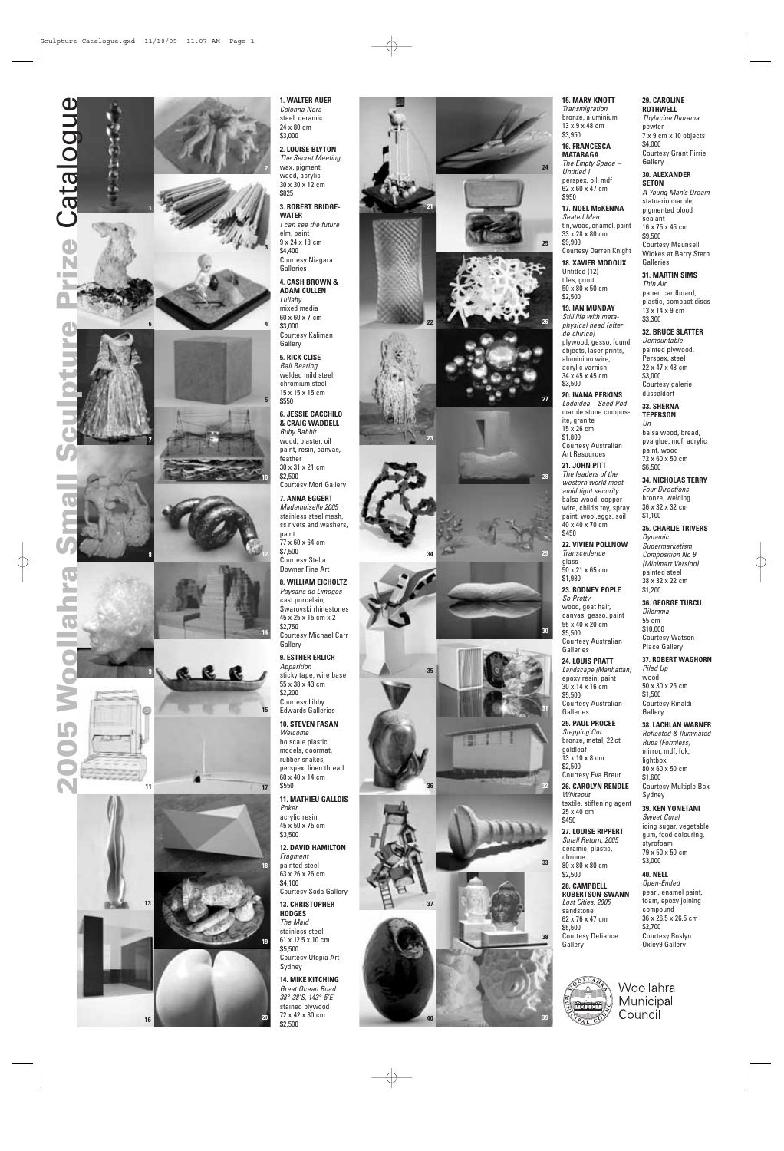# **1. WALTER AUER**

*Colonna Nera* steel, ceramic 24 x 80 cm \$3,000

**2. LOUISE BLYTON**

*The Secret Meeting* wood, acrylic 30 x 30 x 12 cm \$825

**3. ROBERT BRIDGE-WATER**

*I can see the future* elm, paint 9 x 24 x 18 cm \$4,400 Courtesy Niagara Galleries

**4. CASH BROWN & ADAM CULLEN**

*Lullaby* mixed media 60 x 60 x 7 cm \$3,000 Courtesy Kaliman Gallery

**5. RICK CLISE** *Ball Bearing* welded mild steel, chromium steel 15 x 15 x 15 cm \$550

**6. JESSIE CACCHILO & CRAIG WADDELL** *Ruby Rabbit* wood, plaster, oil paint, resin, canvas, feather 30 x 31 x 21 cm \$2,500

Courtesy Mori Gallery

### **7. ANNA EGGERT**

*Mademoiselle 2005* stainless steel mesh, ss rivets and washers, paint

77 x 60 x 64 cm \$7,500 Courtesy Stella

Downer Fine Art

**8. WILLIAM EICHOLTZ** *Paysans de Limoges* cast porcelain, Swarovski rhinestones 45 x 25 x 15 cm x 2 \$2,750

Courtesy Michael Carr Gallery

#### **9. ESTHER ERLICH**

*Apparition* sticky tape, wire base 55 x 38 x 43 cm \$2,200 Courtesy Libby Edwards Galleries

## **10. STEVEN FASAN**

*Welcome* ho scale plastic models, doormat, rubber snakes, perspex, linen thread 60 x 40 x 14 cm \$550

*The leaders of the western world meet amid tight security* balsa wood, copper wire, child's toy, spray paint, wool,eggs, soil 40 x 40 x 70 cm \$450

**11. MATHIEU GALLOIS** *Poker*

acrylic resin 45 x 50 x 75 cm \$3,500

**12. DAVID HAMILTON** *Fragment* painted steel 63 x 26 x 26 cm \$4,100 Courtesy Soda Gallery

**13. CHRISTOPHER HODGES** *The Maid* stainless steel 61 x 12.5 x 10 cm \$5,500 Courtesy Utopia Art Sydney

**14. MIKE KITCHING** *Great Ocean Road 38°-38'S, 143°-5'E* stained plywood 72 x 42 x 30 cm \$2,500

### **15. MARY KNOTT**

*Transmigration* bronze, aluminium 13 x 9 x 48 cm \$3,950

> statuario marble, pigmented blood sealant 16 x 75 x 45 cm \$9,500 Courtesy Maunsell Wickes at Barry Stern **Galleries**

**16. FRANCESCA MATARAGA** *The Empty Space –*

*Untitled I* perspex, oil, mdf

62 x 60 x 47 cm \$950 **17. NOEL McKENNA** *Seated Man*

tin, wood, enamel, paint 33 x 28 x 80 cm \$9,900 Courtesy Darren Knight **18. XAVIER MODOUX**

Untitled (12) tiles, grout 50 x 80 x 50 cm

# \$2,500

**19. IAN MUNDAY** *Still life with metaphysical head (after de chirico)* plywood, gesso, found objects, laser prints, aluminium wire, acrylic varnish 34 x 45 x 45 cm \$3,500

**20. IVANA PERKINS**

*Lodoidea – Seed Pod* marble stone composite, granite 15 x 26 cm \$1,800

Courtesy Australian Art Resources **21. JOHN PITT**





**22. VIVIEN POLLNOW**

*Transcedence* glass 50 x 21 x 65 cm \$1,980

**23. RODNEY POPLE** *So Pretty*

wood, goat hair, canvas, gesso, paint 55 x 40 x 20 cm \$5,500 Courtesy Australian Galleries

**24. LOUIS PRATT**

\$5,500

**25. PAUL PROCEE** *Stepping Out*

bronze, metal, 22 ct

goldleaf 13 x 10 x 8 cm \$2,500

Courtesy Eva Breur **26. CAROLYN RENDLE**

*Whiteout*

textile, stiffening agent

25 x 40 cm \$450

**27. LOUISE RIPPERT** *Small Return, 2005* ceramic, plastic, chrome 80 x 80 x 80 cm

\$2,500 **28. CAMPBELL ROBERTSON-SWANN** *Lost Cities, 2005* sandstone 62 x 76 x 47 cm \$5,500 Courtesy Defiance Gallery



*Thylacine Diorama* pewter 7 x 9 cm x 10 objects \$4,000 Courtesy Grant Pirrie Gallery

**30. ALEXANDER SETON** *A Young Man 's Dream*

*Landscape (Manhattan)* epoxy resin, paint 30 x 14 x 16 cm Courtesy Australian Galleries *Piled Up* wood \$1,500 Gallery

**31. MARTIN SIMS**

*Thin Air* paper, cardboard, plastic, compact discs 13 x 14 x 9 cm \$3,300

**32. BRUCE SLATTER**

*Demountable* painted plywood, Perspex, steel 22 x 47 x 48 cm \$3,000 Courtesy galerie düsseldorf

**33. SHERNA TEPERSON**

> *Un*balsa wood, bread, pva glue, mdf, acrylic paint, wood

72 x 60 x 50 cm \$6,500 **34. NICHOLAS TERRY**

*Four Directions* bronze, welding 36 x 32 x 32 cm \$1,100

**35. CHARLIE TRIVERS**

*Dynamic Supermarketism Composition No 9 (Minimart Version)* painted steel 38 x 32 x 22 cm \$1,200

**36. GEORGE TURCU** *Dilemma*

55 cm \$10,000 Courtesy Watson Place Gallery

**37. ROBERT WAGHORN**

50 x 30 x 25 cm Courtesy Rinaldi

### **38. LACHLAN WARNER**





*Reflected & Iluminated Rupa (Formless)* mirror, mdf, fok, lightbox 80 x 60 x 50 cm \$1,600 Courtesy Multiple Box Sydney

**39. KEN YONETANI** *Sweet Coral* icing sugar, vegetable gum, food colouring, styrofoam 79 x 50 x 50 cm \$3,000

**40. NELL**

*Open-Ended* pearl, enamel paint, foam, epoxy joining compound 36 x 26.5 x 26.5 cm \$2,700 Courtesy Roslyn Oxley9 Gallery



Woollahra Municipal Council

**28**

**27**

**29**

**30**